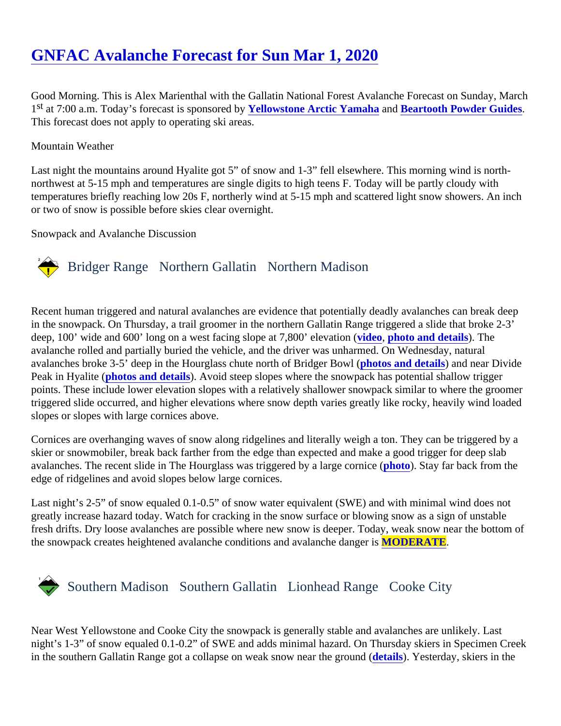# [GNFAC Avalanche Forecast for Sun Mar 1, 202](https://www.mtavalanche.com/forecast/20/03/01)0

Good Morning. This is Alex Marienthal with the Gallatin National Forest Avalanche Forecast on Sunday, March 1<sup>st</sup> at 7:00 a.m. Today's forecast is sponsored blowstone Arctic Yamahaan[d Beartooth Powder Guides](http://beartoothpowder.com/) This forecast does not apply to operating ski areas.

### Mountain Weather

Last night the mountains around Hyalite got 5" of snow and 1-3" fell elsewhere. This morning wind is northnorthwest at 5-15 mph and temperatures are single digits to high teens F. Today will be partly cloudy with temperatures briefly reaching low 20s F, northerly wind at 5-15 mph and scattered light snow showers. An inc or two of snow is possible before skies clear overnight.

Snowpack and Avalanche Discussion

## Bridger Range Northern Gallatin Northern Madison

Recent human triggered and natural avalanches are evidence that potentially deadly avalanches can break d in the snowpack. On Thursday, a trail groomer in the northern Gallatin Range triggered a slide that broke 2-3' deep, 100' wide and 600' long on a west facing slope at 7,800' elevation, (photo and details). The avalanche rolled and partially buried the vehicle, and the driver was unharmed. On Wednesday, natural avalanches broke 3-5' deep in the Hourglass chute north of Bridger Bloot b and details and near Divide Peak in Hyalite photos and details. Avoid steep slopes where the snowpack has potential shallow trigger points. These include lower elevation slopes with a relatively shallower snowpack similar to where the groome triggered slide occurred, and higher elevations where snow depth varies greatly like rocky, heavily wind loade slopes or slopes with large cornices above.

Cornices are overhanging waves of snow along ridgelines and literally weigh a ton. They can be triggered by skier or snowmobiler, break back farther from the edge than expected and make a good trigger for deep slab avalanches. The recent slide in The Hourglass was triggered by a large cornator Stay far back from the edge of ridgelines and avoid slopes below large cornices.

Last night's 2-5" of snow equaled 0.1-0.5" of snow water equivalent (SWE) and with minimal wind does not greatly increase hazard today. Watch for cracking in the snow surface or blowing snow as a sign of unstable fresh drifts. Dry loose avalanches are possible where new snow is deeper. Today, weak snow near the bottor the snowpack creates heightened avalanche conditions and avalanche **MODERATE**.

# Southern MadisonSouthern Gallatin Lionhead RangeCooke City

Near West Yellowstone and Cooke City the snowpack is generally stable and avalanches are unlikely. Last night's 1-3" of snow equaled 0.1-0.2" of SWE and adds minimal hazard. On Thursday skiers in Specimen Cre in the southern Gallatin Range got a collapse on weak snow near the gretarild) (Yesterday, skiers in the